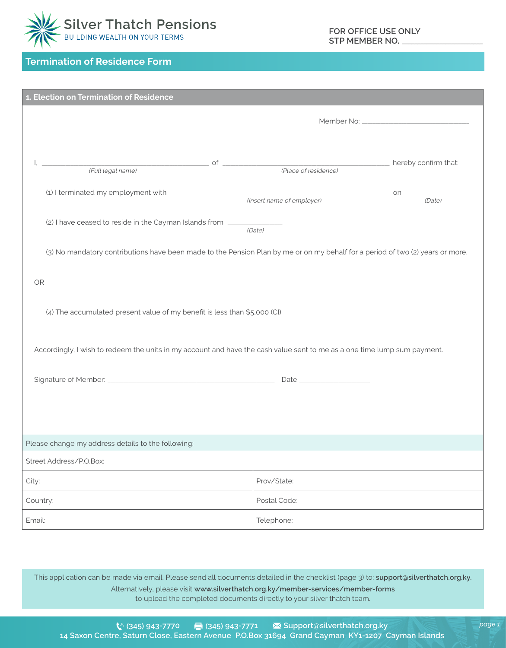

## **Termination of Residence Form**

| 1. Election on Termination of Residence                                                                                        |                                              |        |  |
|--------------------------------------------------------------------------------------------------------------------------------|----------------------------------------------|--------|--|
|                                                                                                                                |                                              |        |  |
|                                                                                                                                |                                              |        |  |
| (Full legal name)                                                                                                              | nereby confirm that:<br>(Place of residence) |        |  |
|                                                                                                                                |                                              | (Date) |  |
| (2) I have ceased to reside in the Cayman Islands from ___                                                                     | (Date)                                       |        |  |
| (3) No mandatory contributions have been made to the Pension Plan by me or on my behalf for a period of two (2) years or more, |                                              |        |  |
| <b>OR</b>                                                                                                                      |                                              |        |  |
| (4) The accumulated present value of my benefit is less than \$5,000 (CI)                                                      |                                              |        |  |
| Accordingly, I wish to redeem the units in my account and have the cash value sent to me as a one time lump sum payment.       |                                              |        |  |
|                                                                                                                                |                                              |        |  |
|                                                                                                                                |                                              |        |  |
|                                                                                                                                |                                              |        |  |
| Please change my address details to the following:                                                                             |                                              |        |  |
| Street Address/P.O.Box:                                                                                                        |                                              |        |  |
| City:                                                                                                                          | Prov/State:                                  |        |  |
| Country:                                                                                                                       | Postal Code:                                 |        |  |
| Email:                                                                                                                         | Telephone:                                   |        |  |

This application can be made via email. Please send all documents detailed in the checklist (page 3) to: **support@silverthatch.org.ky.** Alternatively, please visit **www.silverthatch.org.ky/member-services/member-forms**  to upload the completed documents directly to your silver thatch team.

*page 1*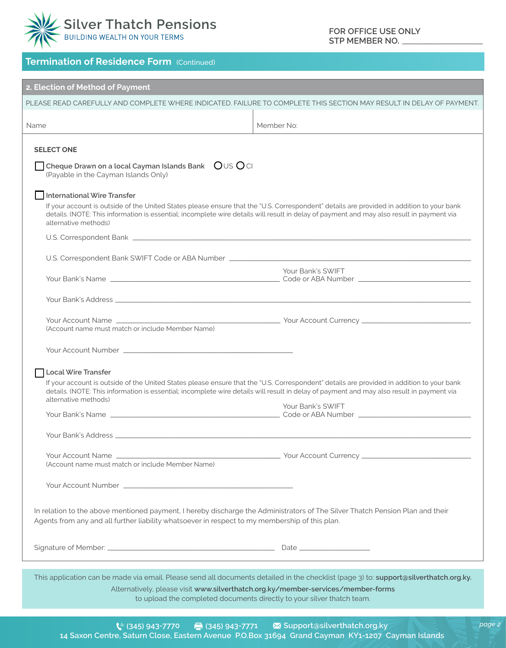

*page 2*

## **Termination of Residence Form (Continued)**

| 2. Election of Method of Payment                                                                                                                                                                                                |                                                                                                                                           |  |
|---------------------------------------------------------------------------------------------------------------------------------------------------------------------------------------------------------------------------------|-------------------------------------------------------------------------------------------------------------------------------------------|--|
| PLEASE READ CAREFULLY AND COMPLETE WHERE INDICATED. FAILURE TO COMPLETE THIS SECTION MAY RESULT IN DELAY OF PAYMENT.                                                                                                            |                                                                                                                                           |  |
| Name                                                                                                                                                                                                                            | Member No:                                                                                                                                |  |
|                                                                                                                                                                                                                                 |                                                                                                                                           |  |
| <b>SELECT ONE</b>                                                                                                                                                                                                               |                                                                                                                                           |  |
| Ous Oci<br>Cheque Drawn on a local Cayman Islands Bank<br>(Payable in the Cayman Islands Only)                                                                                                                                  |                                                                                                                                           |  |
| International Wire Transfer                                                                                                                                                                                                     |                                                                                                                                           |  |
| details. (NOTE: This information is essential; incomplete wire details will result in delay of payment and may also result in payment via<br>alternative methods)                                                               | If your account is outside of the United States please ensure that the "U.S. Correspondent" details are provided in addition to your bank |  |
| U.S. Correspondent Bank <b>Construction</b> Construction and Construction Construction Construction Construction Const                                                                                                          |                                                                                                                                           |  |
|                                                                                                                                                                                                                                 |                                                                                                                                           |  |
|                                                                                                                                                                                                                                 |                                                                                                                                           |  |
|                                                                                                                                                                                                                                 | Your Bank's SWIFT                                                                                                                         |  |
|                                                                                                                                                                                                                                 |                                                                                                                                           |  |
|                                                                                                                                                                                                                                 |                                                                                                                                           |  |
|                                                                                                                                                                                                                                 |                                                                                                                                           |  |
| (Account name must match or include Member Name)                                                                                                                                                                                |                                                                                                                                           |  |
|                                                                                                                                                                                                                                 |                                                                                                                                           |  |
|                                                                                                                                                                                                                                 |                                                                                                                                           |  |
|                                                                                                                                                                                                                                 |                                                                                                                                           |  |
| <b>Local Wire Transfer</b>                                                                                                                                                                                                      | If your account is outside of the United States please ensure that the "U.S. Correspondent" details are provided in addition to your bank |  |
| alternative methods)                                                                                                                                                                                                            | details. (NOTE: This information is essential; incomplete wire details will result in delay of payment and may also result in payment via |  |
|                                                                                                                                                                                                                                 | Your Bank's SWIFT                                                                                                                         |  |
|                                                                                                                                                                                                                                 |                                                                                                                                           |  |
|                                                                                                                                                                                                                                 |                                                                                                                                           |  |
|                                                                                                                                                                                                                                 |                                                                                                                                           |  |
|                                                                                                                                                                                                                                 |                                                                                                                                           |  |
| (Account name must match or include Member Name)                                                                                                                                                                                |                                                                                                                                           |  |
|                                                                                                                                                                                                                                 |                                                                                                                                           |  |
|                                                                                                                                                                                                                                 |                                                                                                                                           |  |
| In relation to the above mentioned payment, I hereby discharge the Administrators of The Silver Thatch Pension Plan and their<br>Agents from any and all further liability whatsoever in respect to my membership of this plan. |                                                                                                                                           |  |
|                                                                                                                                                                                                                                 |                                                                                                                                           |  |
|                                                                                                                                                                                                                                 |                                                                                                                                           |  |
|                                                                                                                                                                                                                                 |                                                                                                                                           |  |
|                                                                                                                                                                                                                                 |                                                                                                                                           |  |
| This application can be made via email. Please send all documents detailed in the checklist (page 3) to: support@silverthatch.org.ky.<br>Alternatively, please visit www.silverthatch.org.ky/member-services/member-forms       |                                                                                                                                           |  |
| to upload the completed documents directly to your silver thatch team.                                                                                                                                                          |                                                                                                                                           |  |
|                                                                                                                                                                                                                                 |                                                                                                                                           |  |